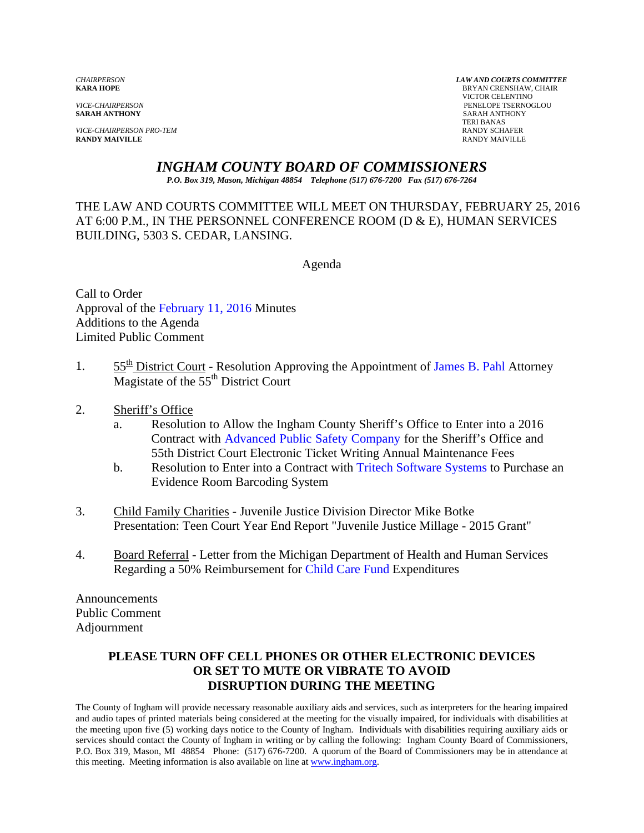**SARAH ANTHONY** SARAH ANTHONY

**VICE-CHAIRPERSON PRO-TEM RANDY SCHAFER RANDY SCHAFER RANDY SCHAFER RANDY SCHAFER RANDY MAIVILLE RANDY MAIVILLE** RANDY MAIVILLE

*CHAIRPERSON LAW AND COURTS COMMITTEE* **BRYAN CRENSHAW, CHAIR**  VICTOR CELENTINO *VICE-CHAIRPERSON* PENELOPE TSERNOGLOU TERI BANAS

## *INGHAM COUNTY BOARD OF COMMISSIONERS*

*P.O. Box 319, Mason, Michigan 48854 Telephone (517) 676-7200 Fax (517) 676-7264*

THE LAW AND COURTS COMMITTEE WILL MEET ON THURSDAY, FEBRUARY 25, 2016 AT 6:00 P.M., IN THE PERSONNEL CONFERENCE ROOM (D & E), HUMAN SERVICES BUILDING, 5303 S. CEDAR, LANSING.

Agenda

Call to Order Approval [of the February 11, 2016 Minutes](#page-1-0)  Additions to the Agenda Limited Public Comment

- 1.  $55^{\text{th}}$  District Court Resolution Approving the Appoint[ment of James B. Pahl Attorney](#page-9-0) Magistate of the  $55<sup>th</sup>$  District Court
- 2. Sheriff's Office
	- a. Resolution to Allow the Ingham County Sheriff's Office to Enter into a 2016 Contract wit[h Advanced Public Safety Company for the S](#page-11-0)heriff's Office and 55th District Court Electronic Ticket Writing Annual Maintenance Fees
	- b. Resolution to Enter into a Contract wi[th Tritech Software Systems to Purchase](#page-13-0) an Evidence Room Barcoding System
- 3. Child Family Charities Juvenile Justice Division Director Mike Botke Presentation: Teen Court Year End Report "Juvenile Justice Millage - 2015 Grant"
- 4. Board Referral Letter from the Michigan Department of Health and Human Services Regarding a 50% Reimbursement [for Child Care Fund Expenditur](#page-15-0)es

Announcements Public Comment Adjournment

## **PLEASE TURN OFF CELL PHONES OR OTHER ELECTRONIC DEVICES OR SET TO MUTE OR VIBRATE TO AVOID DISRUPTION DURING THE MEETING**

The County of Ingham will provide necessary reasonable auxiliary aids and services, such as interpreters for the hearing impaired and audio tapes of printed materials being considered at the meeting for the visually impaired, for individuals with disabilities at the meeting upon five (5) working days notice to the County of Ingham. Individuals with disabilities requiring auxiliary aids or services should contact the County of Ingham in writing or by calling the following: Ingham County Board of Commissioners, P.O. Box 319, Mason, MI 48854 Phone: (517) 676-7200. A quorum of the Board of Commissioners may be in attendance at this meeting. Meeting information is also available on line at www.ingham.org.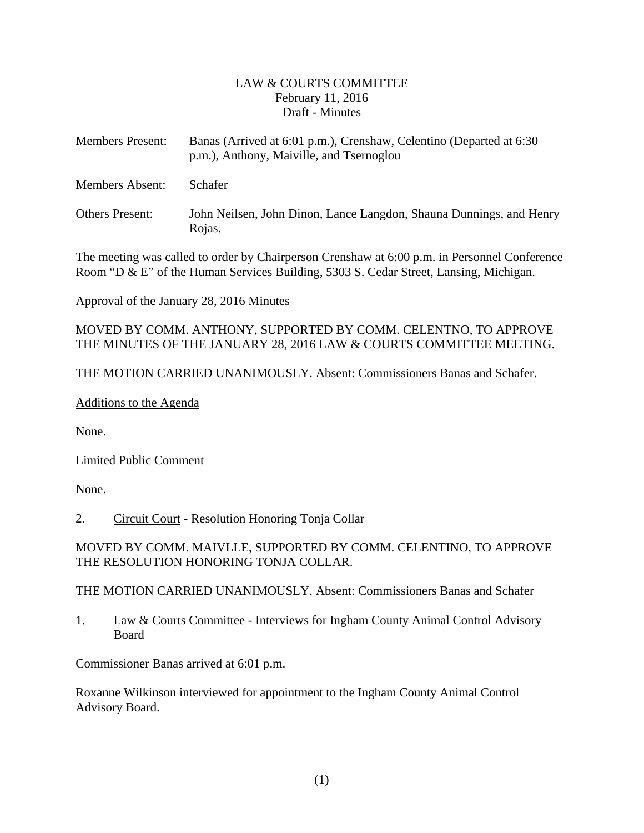#### LAW & COURTS COMMITTEE February 11, 2016 Draft - Minutes

<span id="page-1-0"></span>

| <b>Members Present:</b> | Banas (Arrived at 6:01 p.m.), Crenshaw, Celentino (Departed at 6:30<br>p.m.), Anthony, Maiville, and Tsernoglou |  |
|-------------------------|-----------------------------------------------------------------------------------------------------------------|--|
| Members Absent:         | <b>Schafer</b>                                                                                                  |  |
| <b>Others Present:</b>  | John Neilsen, John Dinon, Lance Langdon, Shauna Dunnings, and Henry<br>Rojas.                                   |  |

The meeting was called to order by Chairperson Crenshaw at 6:00 p.m. in Personnel Conference Room "D & E" of the Human Services Building, 5303 S. Cedar Street, Lansing, Michigan.

Approval of the January 28, 2016 Minutes

MOVED BY COMM. ANTHONY, SUPPORTED BY COMM. CELENTNO, TO APPROVE THE MINUTES OF THE JANUARY 28, 2016 LAW & COURTS COMMITTEE MEETING.

THE MOTION CARRIED UNANIMOUSLY. Absent: Commissioners Banas and Schafer.

Additions to the Agenda

None.

Limited Public Comment

None.

2. Circuit Court - Resolution Honoring Tonja Collar

MOVED BY COMM. MAIVLLE, SUPPORTED BY COMM. CELENTINO, TO APPROVE THE RESOLUTION HONORING TONJA COLLAR.

THE MOTION CARRIED UNANIMOUSLY. Absent: Commissioners Banas and Schafer

1. Law & Courts Committee - Interviews for Ingham County Animal Control Advisory Board

Commissioner Banas arrived at 6:01 p.m.

Roxanne Wilkinson interviewed for appointment to the Ingham County Animal Control Advisory Board.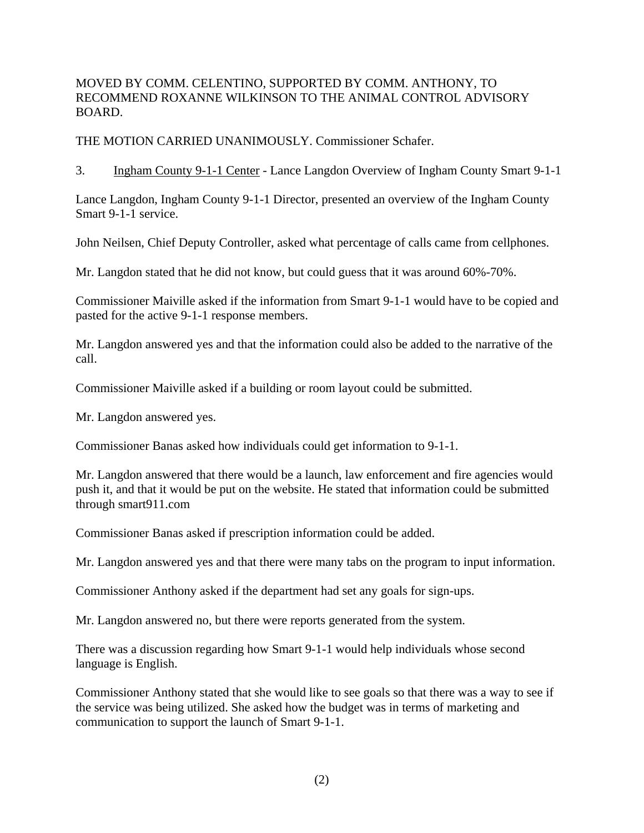MOVED BY COMM. CELENTINO, SUPPORTED BY COMM. ANTHONY, TO RECOMMEND ROXANNE WILKINSON TO THE ANIMAL CONTROL ADVISORY BOARD.

THE MOTION CARRIED UNANIMOUSLY. Commissioner Schafer.

3. Ingham County 9-1-1 Center - Lance Langdon Overview of Ingham County Smart 9-1-1

Lance Langdon, Ingham County 9-1-1 Director, presented an overview of the Ingham County Smart 9-1-1 service.

John Neilsen, Chief Deputy Controller, asked what percentage of calls came from cellphones.

Mr. Langdon stated that he did not know, but could guess that it was around 60%-70%.

Commissioner Maiville asked if the information from Smart 9-1-1 would have to be copied and pasted for the active 9-1-1 response members.

Mr. Langdon answered yes and that the information could also be added to the narrative of the call.

Commissioner Maiville asked if a building or room layout could be submitted.

Mr. Langdon answered yes.

Commissioner Banas asked how individuals could get information to 9-1-1.

Mr. Langdon answered that there would be a launch, law enforcement and fire agencies would push it, and that it would be put on the website. He stated that information could be submitted through smart911.com

Commissioner Banas asked if prescription information could be added.

Mr. Langdon answered yes and that there were many tabs on the program to input information.

Commissioner Anthony asked if the department had set any goals for sign-ups.

Mr. Langdon answered no, but there were reports generated from the system.

There was a discussion regarding how Smart 9-1-1 would help individuals whose second language is English.

Commissioner Anthony stated that she would like to see goals so that there was a way to see if the service was being utilized. She asked how the budget was in terms of marketing and communication to support the launch of Smart 9-1-1.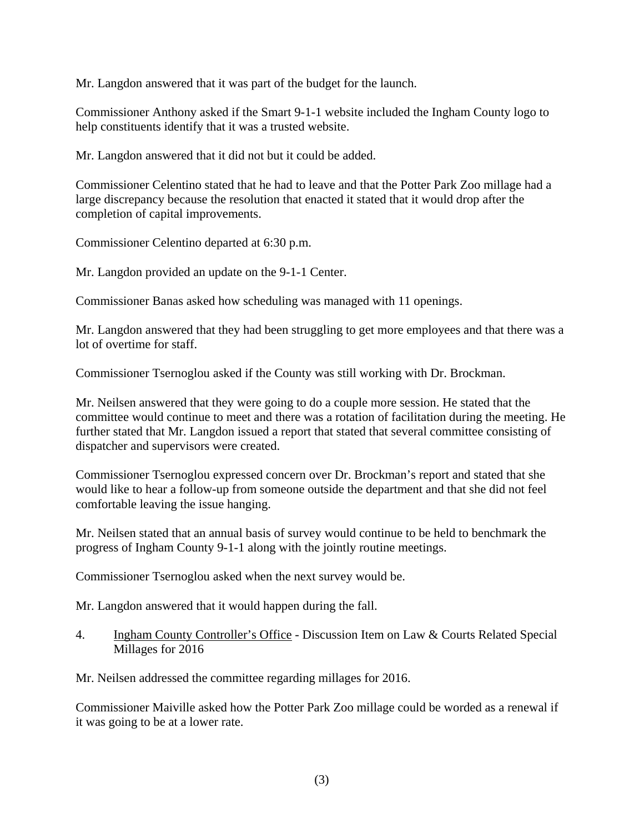Mr. Langdon answered that it was part of the budget for the launch.

Commissioner Anthony asked if the Smart 9-1-1 website included the Ingham County logo to help constituents identify that it was a trusted website.

Mr. Langdon answered that it did not but it could be added.

Commissioner Celentino stated that he had to leave and that the Potter Park Zoo millage had a large discrepancy because the resolution that enacted it stated that it would drop after the completion of capital improvements.

Commissioner Celentino departed at 6:30 p.m.

Mr. Langdon provided an update on the 9-1-1 Center.

Commissioner Banas asked how scheduling was managed with 11 openings.

Mr. Langdon answered that they had been struggling to get more employees and that there was a lot of overtime for staff.

Commissioner Tsernoglou asked if the County was still working with Dr. Brockman.

Mr. Neilsen answered that they were going to do a couple more session. He stated that the committee would continue to meet and there was a rotation of facilitation during the meeting. He further stated that Mr. Langdon issued a report that stated that several committee consisting of dispatcher and supervisors were created.

Commissioner Tsernoglou expressed concern over Dr. Brockman's report and stated that she would like to hear a follow-up from someone outside the department and that she did not feel comfortable leaving the issue hanging.

Mr. Neilsen stated that an annual basis of survey would continue to be held to benchmark the progress of Ingham County 9-1-1 along with the jointly routine meetings.

Commissioner Tsernoglou asked when the next survey would be.

Mr. Langdon answered that it would happen during the fall.

4. Ingham County Controller's Office - Discussion Item on Law & Courts Related Special Millages for 2016

Mr. Neilsen addressed the committee regarding millages for 2016.

Commissioner Maiville asked how the Potter Park Zoo millage could be worded as a renewal if it was going to be at a lower rate.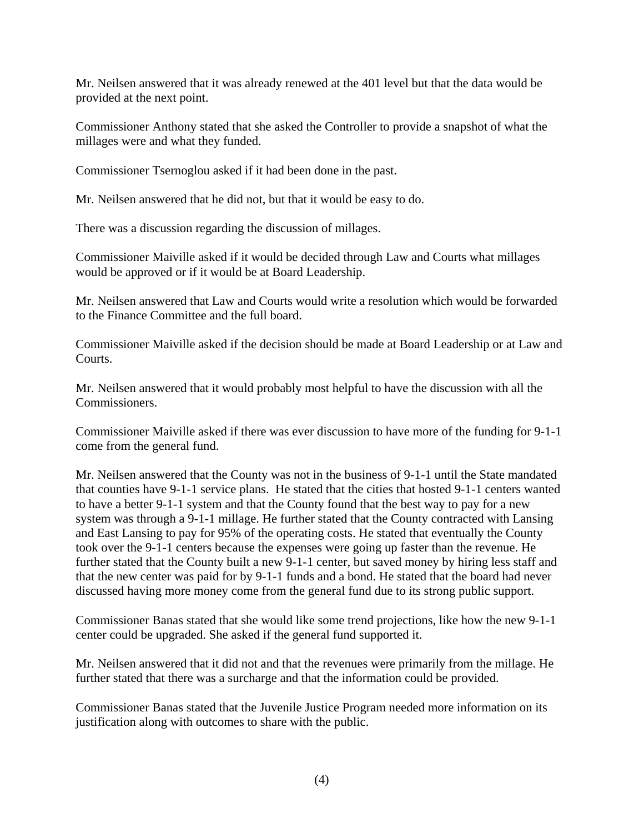Mr. Neilsen answered that it was already renewed at the 401 level but that the data would be provided at the next point.

Commissioner Anthony stated that she asked the Controller to provide a snapshot of what the millages were and what they funded.

Commissioner Tsernoglou asked if it had been done in the past.

Mr. Neilsen answered that he did not, but that it would be easy to do.

There was a discussion regarding the discussion of millages.

Commissioner Maiville asked if it would be decided through Law and Courts what millages would be approved or if it would be at Board Leadership.

Mr. Neilsen answered that Law and Courts would write a resolution which would be forwarded to the Finance Committee and the full board.

Commissioner Maiville asked if the decision should be made at Board Leadership or at Law and Courts.

Mr. Neilsen answered that it would probably most helpful to have the discussion with all the Commissioners.

Commissioner Maiville asked if there was ever discussion to have more of the funding for 9-1-1 come from the general fund.

Mr. Neilsen answered that the County was not in the business of 9-1-1 until the State mandated that counties have 9-1-1 service plans. He stated that the cities that hosted 9-1-1 centers wanted to have a better 9-1-1 system and that the County found that the best way to pay for a new system was through a 9-1-1 millage. He further stated that the County contracted with Lansing and East Lansing to pay for 95% of the operating costs. He stated that eventually the County took over the 9-1-1 centers because the expenses were going up faster than the revenue. He further stated that the County built a new 9-1-1 center, but saved money by hiring less staff and that the new center was paid for by 9-1-1 funds and a bond. He stated that the board had never discussed having more money come from the general fund due to its strong public support.

Commissioner Banas stated that she would like some trend projections, like how the new 9-1-1 center could be upgraded. She asked if the general fund supported it.

Mr. Neilsen answered that it did not and that the revenues were primarily from the millage. He further stated that there was a surcharge and that the information could be provided.

Commissioner Banas stated that the Juvenile Justice Program needed more information on its justification along with outcomes to share with the public.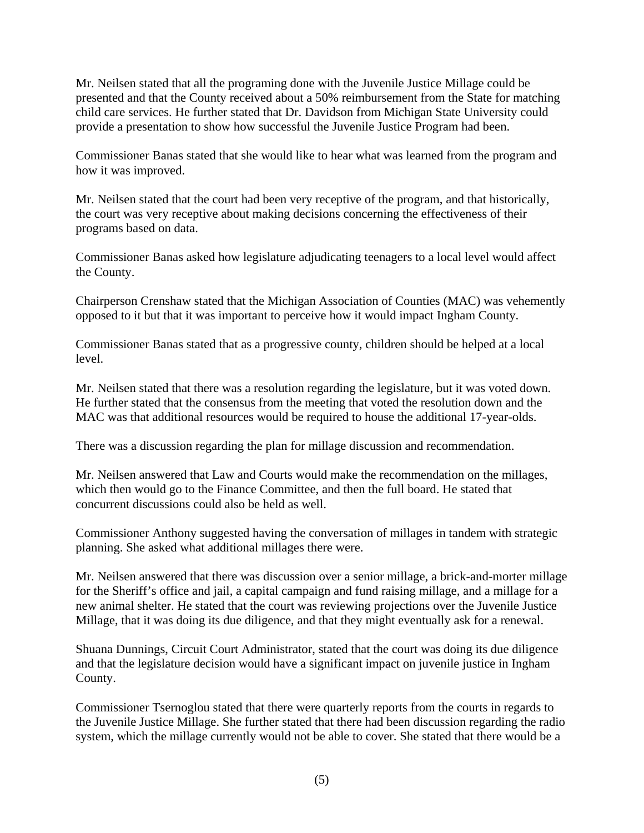Mr. Neilsen stated that all the programing done with the Juvenile Justice Millage could be presented and that the County received about a 50% reimbursement from the State for matching child care services. He further stated that Dr. Davidson from Michigan State University could provide a presentation to show how successful the Juvenile Justice Program had been.

Commissioner Banas stated that she would like to hear what was learned from the program and how it was improved.

Mr. Neilsen stated that the court had been very receptive of the program, and that historically, the court was very receptive about making decisions concerning the effectiveness of their programs based on data.

Commissioner Banas asked how legislature adjudicating teenagers to a local level would affect the County.

Chairperson Crenshaw stated that the Michigan Association of Counties (MAC) was vehemently opposed to it but that it was important to perceive how it would impact Ingham County.

Commissioner Banas stated that as a progressive county, children should be helped at a local level.

Mr. Neilsen stated that there was a resolution regarding the legislature, but it was voted down. He further stated that the consensus from the meeting that voted the resolution down and the MAC was that additional resources would be required to house the additional 17-year-olds.

There was a discussion regarding the plan for millage discussion and recommendation.

Mr. Neilsen answered that Law and Courts would make the recommendation on the millages, which then would go to the Finance Committee, and then the full board. He stated that concurrent discussions could also be held as well.

Commissioner Anthony suggested having the conversation of millages in tandem with strategic planning. She asked what additional millages there were.

Mr. Neilsen answered that there was discussion over a senior millage, a brick-and-morter millage for the Sheriff's office and jail, a capital campaign and fund raising millage, and a millage for a new animal shelter. He stated that the court was reviewing projections over the Juvenile Justice Millage, that it was doing its due diligence, and that they might eventually ask for a renewal.

Shuana Dunnings, Circuit Court Administrator, stated that the court was doing its due diligence and that the legislature decision would have a significant impact on juvenile justice in Ingham County.

Commissioner Tsernoglou stated that there were quarterly reports from the courts in regards to the Juvenile Justice Millage. She further stated that there had been discussion regarding the radio system, which the millage currently would not be able to cover. She stated that there would be a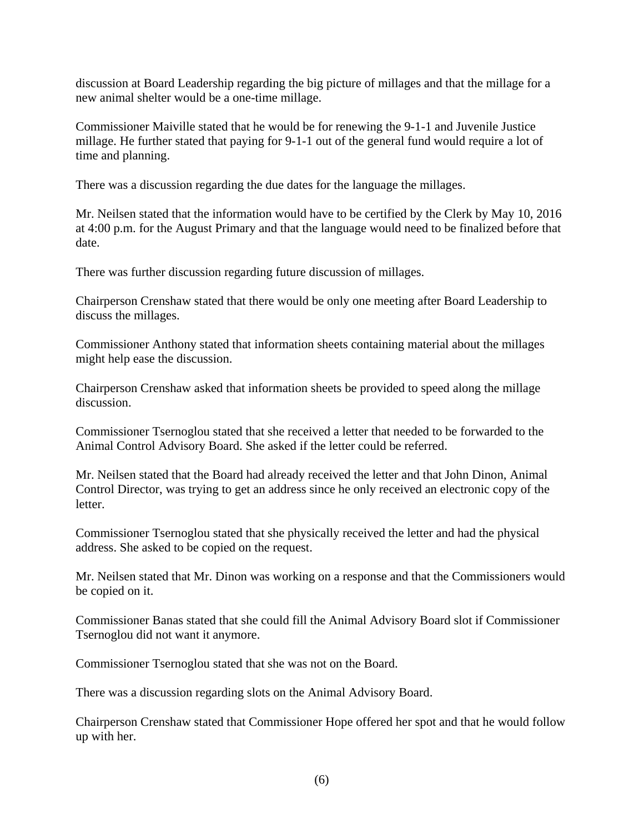discussion at Board Leadership regarding the big picture of millages and that the millage for a new animal shelter would be a one-time millage.

Commissioner Maiville stated that he would be for renewing the 9-1-1 and Juvenile Justice millage. He further stated that paying for 9-1-1 out of the general fund would require a lot of time and planning.

There was a discussion regarding the due dates for the language the millages.

Mr. Neilsen stated that the information would have to be certified by the Clerk by May 10, 2016 at 4:00 p.m. for the August Primary and that the language would need to be finalized before that date.

There was further discussion regarding future discussion of millages.

Chairperson Crenshaw stated that there would be only one meeting after Board Leadership to discuss the millages.

Commissioner Anthony stated that information sheets containing material about the millages might help ease the discussion.

Chairperson Crenshaw asked that information sheets be provided to speed along the millage discussion.

Commissioner Tsernoglou stated that she received a letter that needed to be forwarded to the Animal Control Advisory Board. She asked if the letter could be referred.

Mr. Neilsen stated that the Board had already received the letter and that John Dinon, Animal Control Director, was trying to get an address since he only received an electronic copy of the letter.

Commissioner Tsernoglou stated that she physically received the letter and had the physical address. She asked to be copied on the request.

Mr. Neilsen stated that Mr. Dinon was working on a response and that the Commissioners would be copied on it.

Commissioner Banas stated that she could fill the Animal Advisory Board slot if Commissioner Tsernoglou did not want it anymore.

Commissioner Tsernoglou stated that she was not on the Board.

There was a discussion regarding slots on the Animal Advisory Board.

Chairperson Crenshaw stated that Commissioner Hope offered her spot and that he would follow up with her.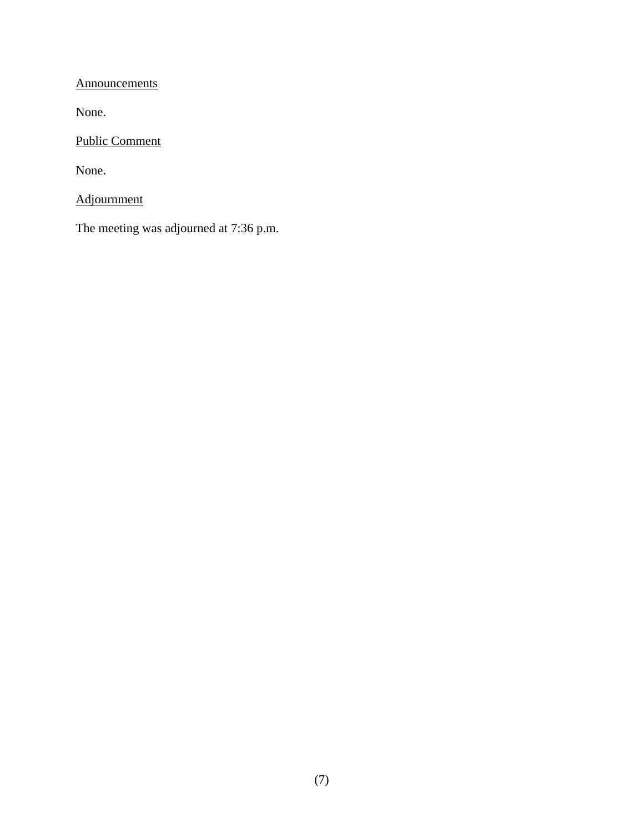**Announcements** 

None.

Public Comment

None.

Adjournment

The meeting was adjourned at 7:36 p.m.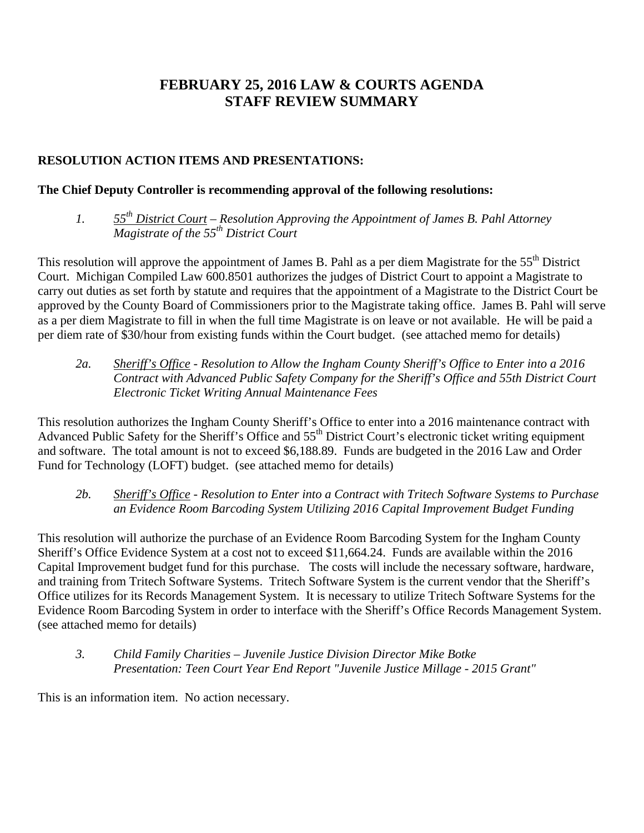# **FEBRUARY 25, 2016 LAW & COURTS AGENDA STAFF REVIEW SUMMARY**

# **RESOLUTION ACTION ITEMS AND PRESENTATIONS:**

#### **The Chief Deputy Controller is recommending approval of the following resolutions:**

*1. 55th District Court – Resolution Approving the Appointment of James B. Pahl Attorney Magistrate of the 55th District Court* 

This resolution will approve the appointment of James B. Pahl as a per diem Magistrate for the 55<sup>th</sup> District Court. Michigan Compiled Law 600.8501 authorizes the judges of District Court to appoint a Magistrate to carry out duties as set forth by statute and requires that the appointment of a Magistrate to the District Court be approved by the County Board of Commissioners prior to the Magistrate taking office. James B. Pahl will serve as a per diem Magistrate to fill in when the full time Magistrate is on leave or not available. He will be paid a per diem rate of \$30/hour from existing funds within the Court budget. (see attached memo for details)

*2a. Sheriff's Office - Resolution to Allow the Ingham County Sheriff's Office to Enter into a 2016 Contract with Advanced Public Safety Company for the Sheriff's Office and 55th District Court Electronic Ticket Writing Annual Maintenance Fees* 

This resolution authorizes the Ingham County Sheriff's Office to enter into a 2016 maintenance contract with Advanced Public Safety for the Sheriff's Office and 55<sup>th</sup> District Court's electronic ticket writing equipment and software. The total amount is not to exceed \$6,188.89. Funds are budgeted in the 2016 Law and Order Fund for Technology (LOFT) budget. (see attached memo for details)

*2b. Sheriff's Office - Resolution to Enter into a Contract with Tritech Software Systems to Purchase an Evidence Room Barcoding System Utilizing 2016 Capital Improvement Budget Funding*

This resolution will authorize the purchase of an Evidence Room Barcoding System for the Ingham County Sheriff's Office Evidence System at a cost not to exceed \$11,664.24. Funds are available within the 2016 Capital Improvement budget fund for this purchase. The costs will include the necessary software, hardware, and training from Tritech Software Systems. Tritech Software System is the current vendor that the Sheriff's Office utilizes for its Records Management System. It is necessary to utilize Tritech Software Systems for the Evidence Room Barcoding System in order to interface with the Sheriff's Office Records Management System. (see attached memo for details)

*3. Child Family Charities – Juvenile Justice Division Director Mike Botke Presentation: Teen Court Year End Report "Juvenile Justice Millage - 2015 Grant"* 

This is an information item. No action necessary.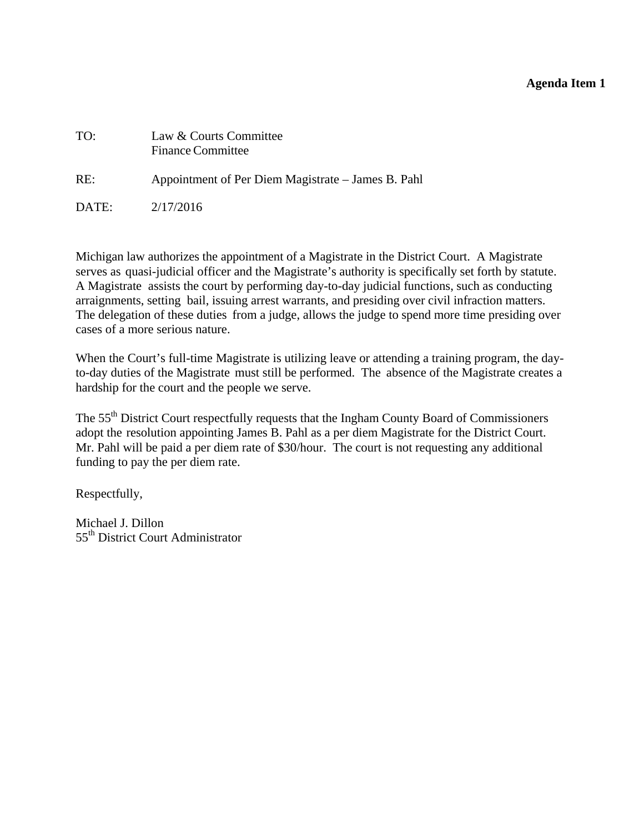#### **Agenda Item 1**

<span id="page-9-0"></span>

| TO:   | Law & Courts Committee<br><b>Finance Committee</b> |
|-------|----------------------------------------------------|
| RE:   | Appointment of Per Diem Magistrate – James B. Pahl |
| DATE: | 2/17/2016                                          |

Michigan law authorizes the appointment of a Magistrate in the District Court. A Magistrate serves as quasi-judicial officer and the Magistrate's authority is specifically set forth by statute. A Magistrate assists the court by performing day-to-day judicial functions, such as conducting arraignments, setting bail, issuing arrest warrants, and presiding over civil infraction matters. The delegation of these duties from a judge, allows the judge to spend more time presiding over cases of a more serious nature.

When the Court's full-time Magistrate is utilizing leave or attending a training program, the dayto-day duties of the Magistrate must still be performed. The absence of the Magistrate creates a hardship for the court and the people we serve.

The 55<sup>th</sup> District Court respectfully requests that the Ingham County Board of Commissioners adopt the resolution appointing James B. Pahl as a per diem Magistrate for the District Court. Mr. Pahl will be paid a per diem rate of \$30/hour. The court is not requesting any additional funding to pay the per diem rate.

Respectfully,

Michael J. Dillon 55<sup>th</sup> District Court Administrator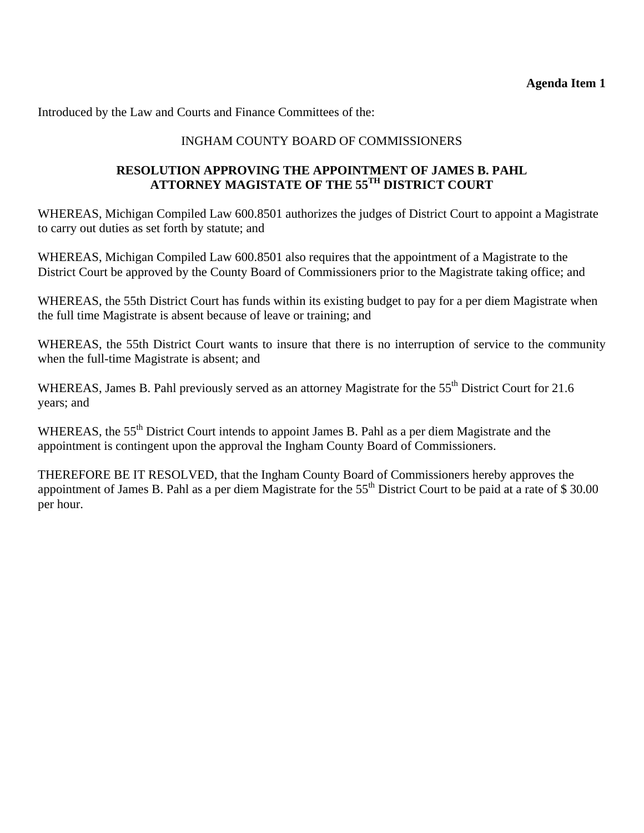#### **Agenda Item 1**

Introduced by the Law and Courts and Finance Committees of the:

## INGHAM COUNTY BOARD OF COMMISSIONERS

#### **RESOLUTION APPROVING THE APPOINTMENT OF JAMES B. PAHL ATTORNEY MAGISTATE OF THE 55TH DISTRICT COURT**

WHEREAS, Michigan Compiled Law 600.8501 authorizes the judges of District Court to appoint a Magistrate to carry out duties as set forth by statute; and

WHEREAS, Michigan Compiled Law 600.8501 also requires that the appointment of a Magistrate to the District Court be approved by the County Board of Commissioners prior to the Magistrate taking office; and

WHEREAS, the 55th District Court has funds within its existing budget to pay for a per diem Magistrate when the full time Magistrate is absent because of leave or training; and

WHEREAS, the 55th District Court wants to insure that there is no interruption of service to the community when the full-time Magistrate is absent; and

WHEREAS, James B. Pahl previously served as an attorney Magistrate for the 55<sup>th</sup> District Court for 21.6 years; and

WHEREAS, the 55<sup>th</sup> District Court intends to appoint James B. Pahl as a per diem Magistrate and the appointment is contingent upon the approval the Ingham County Board of Commissioners.

THEREFORE BE IT RESOLVED, that the Ingham County Board of Commissioners hereby approves the appointment of James B. Pahl as a per diem Magistrate for the  $55<sup>th</sup>$  District Court to be paid at a rate of \$ 30.00 per hour.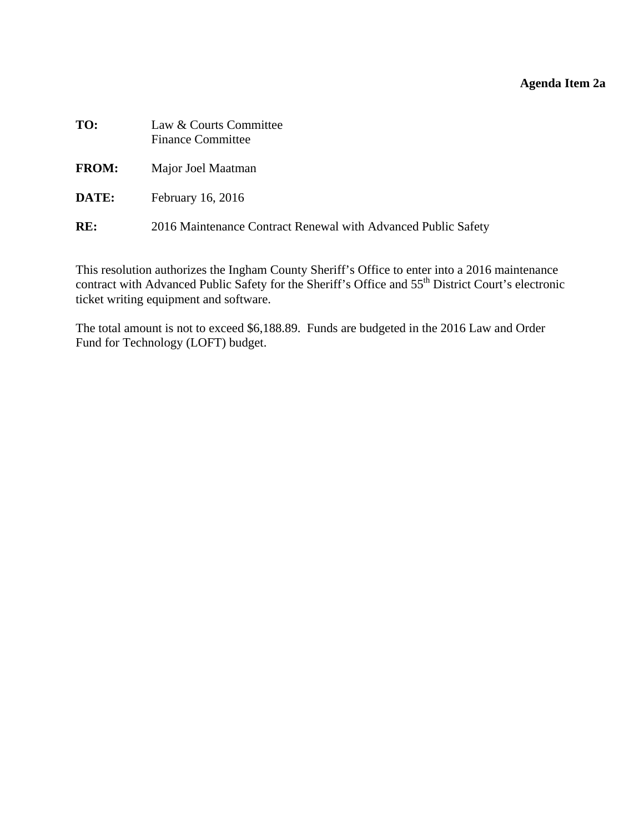# **Agenda Item 2a**

<span id="page-11-0"></span>

| TO:          | Law & Courts Committee<br><b>Finance Committee</b>            |
|--------------|---------------------------------------------------------------|
| <b>FROM:</b> | Major Joel Maatman                                            |
| DATE:        | February 16, 2016                                             |
| RE:          | 2016 Maintenance Contract Renewal with Advanced Public Safety |

This resolution authorizes the Ingham County Sheriff's Office to enter into a 2016 maintenance contract with Advanced Public Safety for the Sheriff's Office and 55<sup>th</sup> District Court's electronic ticket writing equipment and software.

The total amount is not to exceed \$6,188.89. Funds are budgeted in the 2016 Law and Order Fund for Technology (LOFT) budget.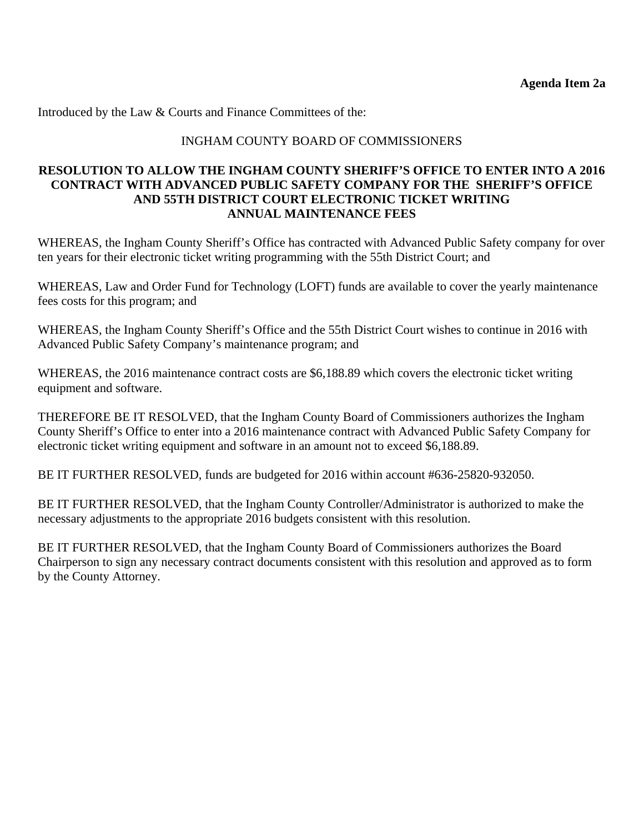Introduced by the Law & Courts and Finance Committees of the:

#### INGHAM COUNTY BOARD OF COMMISSIONERS

#### **RESOLUTION TO ALLOW THE INGHAM COUNTY SHERIFF'S OFFICE TO ENTER INTO A 2016 CONTRACT WITH ADVANCED PUBLIC SAFETY COMPANY FOR THE SHERIFF'S OFFICE AND 55TH DISTRICT COURT ELECTRONIC TICKET WRITING ANNUAL MAINTENANCE FEES**

WHEREAS, the Ingham County Sheriff's Office has contracted with Advanced Public Safety company for over ten years for their electronic ticket writing programming with the 55th District Court; and

WHEREAS, Law and Order Fund for Technology (LOFT) funds are available to cover the yearly maintenance fees costs for this program; and

WHEREAS, the Ingham County Sheriff's Office and the 55th District Court wishes to continue in 2016 with Advanced Public Safety Company's maintenance program; and

WHEREAS, the 2016 maintenance contract costs are \$6,188.89 which covers the electronic ticket writing equipment and software.

THEREFORE BE IT RESOLVED, that the Ingham County Board of Commissioners authorizes the Ingham County Sheriff's Office to enter into a 2016 maintenance contract with Advanced Public Safety Company for electronic ticket writing equipment and software in an amount not to exceed \$6,188.89.

BE IT FURTHER RESOLVED, funds are budgeted for 2016 within account #636-25820-932050.

BE IT FURTHER RESOLVED, that the Ingham County Controller/Administrator is authorized to make the necessary adjustments to the appropriate 2016 budgets consistent with this resolution.

BE IT FURTHER RESOLVED, that the Ingham County Board of Commissioners authorizes the Board Chairperson to sign any necessary contract documents consistent with this resolution and approved as to form by the County Attorney.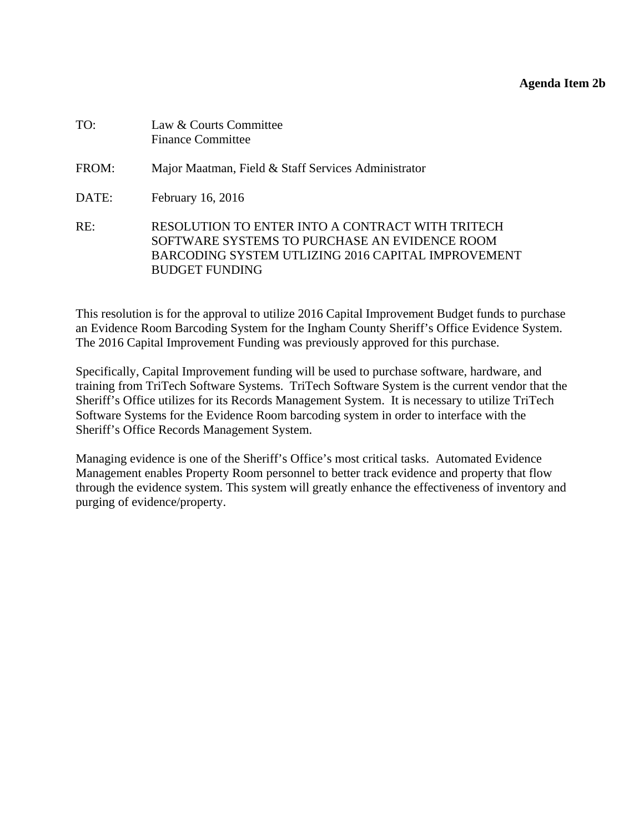#### **Agenda Item 2b**

<span id="page-13-0"></span>

| TO:   | Law & Courts Committee<br><b>Finance Committee</b>                                                                                                                               |
|-------|----------------------------------------------------------------------------------------------------------------------------------------------------------------------------------|
| FROM: | Major Maatman, Field & Staff Services Administrator                                                                                                                              |
| DATE: | February 16, 2016                                                                                                                                                                |
| RE:   | RESOLUTION TO ENTER INTO A CONTRACT WITH TRITECH<br>SOFTWARE SYSTEMS TO PURCHASE AN EVIDENCE ROOM<br>BARCODING SYSTEM UTLIZING 2016 CAPITAL IMPROVEMENT<br><b>BUDGET FUNDING</b> |

This resolution is for the approval to utilize 2016 Capital Improvement Budget funds to purchase an Evidence Room Barcoding System for the Ingham County Sheriff's Office Evidence System. The 2016 Capital Improvement Funding was previously approved for this purchase.

Specifically, Capital Improvement funding will be used to purchase software, hardware, and training from TriTech Software Systems. TriTech Software System is the current vendor that the Sheriff's Office utilizes for its Records Management System. It is necessary to utilize TriTech Software Systems for the Evidence Room barcoding system in order to interface with the Sheriff's Office Records Management System.

Managing evidence is one of the Sheriff's Office's most critical tasks. Automated Evidence Management enables Property Room personnel to better track evidence and property that flow through the evidence system. This system will greatly enhance the effectiveness of inventory and purging of evidence/property.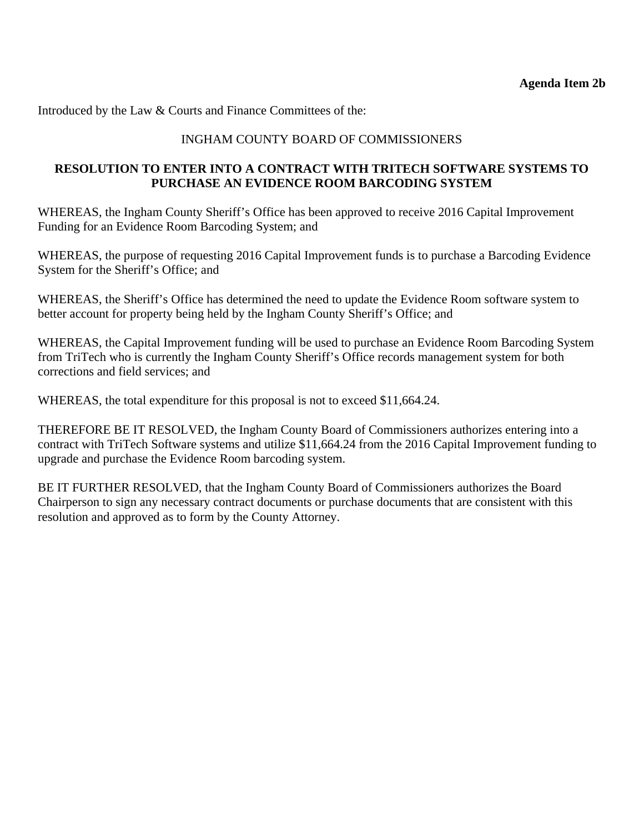Introduced by the Law & Courts and Finance Committees of the:

## INGHAM COUNTY BOARD OF COMMISSIONERS

#### **RESOLUTION TO ENTER INTO A CONTRACT WITH TRITECH SOFTWARE SYSTEMS TO PURCHASE AN EVIDENCE ROOM BARCODING SYSTEM**

WHEREAS, the Ingham County Sheriff's Office has been approved to receive 2016 Capital Improvement Funding for an Evidence Room Barcoding System; and

WHEREAS, the purpose of requesting 2016 Capital Improvement funds is to purchase a Barcoding Evidence System for the Sheriff's Office; and

WHEREAS, the Sheriff's Office has determined the need to update the Evidence Room software system to better account for property being held by the Ingham County Sheriff's Office; and

WHEREAS, the Capital Improvement funding will be used to purchase an Evidence Room Barcoding System from TriTech who is currently the Ingham County Sheriff's Office records management system for both corrections and field services; and

WHEREAS, the total expenditure for this proposal is not to exceed \$11,664.24.

THEREFORE BE IT RESOLVED, the Ingham County Board of Commissioners authorizes entering into a contract with TriTech Software systems and utilize \$11,664.24 from the 2016 Capital Improvement funding to upgrade and purchase the Evidence Room barcoding system.

BE IT FURTHER RESOLVED, that the Ingham County Board of Commissioners authorizes the Board Chairperson to sign any necessary contract documents or purchase documents that are consistent with this resolution and approved as to form by the County Attorney.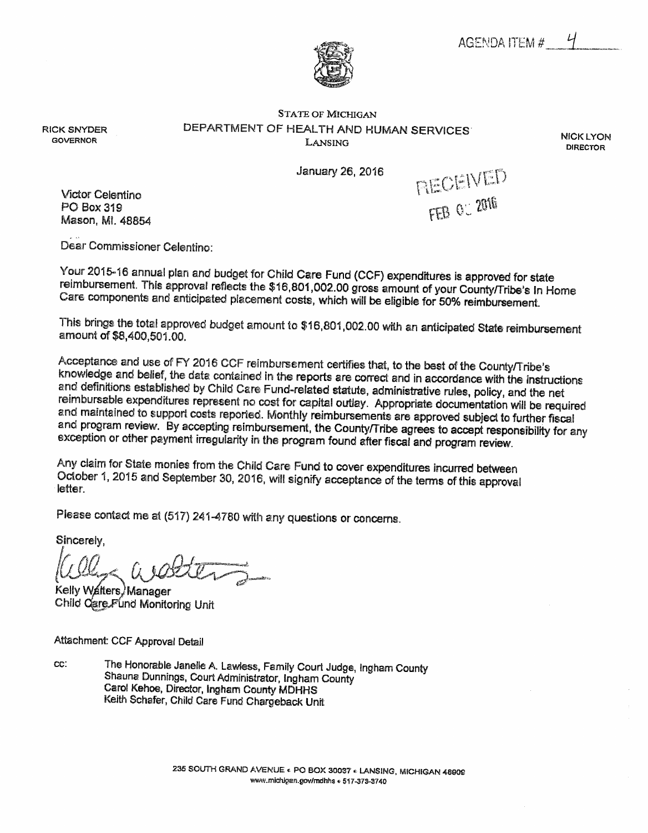AGENDA ITEM #



**STATE OF MICHIGAN** DEPARTMENT OF HEALTH AND HUMAN SERVICES LANSING

**NICK LYON DIRECTOR** 

January 26, 2016

**Victor Celentino** PO Box 319 Mason, Ml. 48854

**RICK SNYDER** 

**GOVERNOR** 

RECEIVED FEB 0: 2016

Dear Commissioner Celentino:

Your 2015-16 annual plan and budget for Child Care Fund (CCF) expenditures is approved for state reimbursement. This approval reflects the \$16,801,002.00 gross amount of your County/Tribe's In Home Care components and anticipated placement costs, which will be eligible for 50% reimbursement.

This brings the total approved budget amount to \$16,801,002.00 with an anticipated State reimbursement amount of \$8,400,501.00.

Acceptance and use of FY 2016 CCF reimbursement certifies that, to the best of the County/Tribe's knowledge and belief, the data contained in the reports are correct and in accordance with the instructions and definitions established by Child Care Fund-related statute, administrative rules, policy, and the net reimbursable expenditures represent no cost for capital outlay. Appropriate documentation will be required and maintained to support costs reported. Monthly reimbursements are approved subject to further fiscal and program review. By accepting reimbursement, the County/Tribe agrees to accept responsibility for any exception or other payment irregularity in the program found after fiscal and program review.

Any claim for State monies from the Child Care Fund to cover expenditures incurred between October 1, 2015 and September 30, 2016, will signify acceptance of the terms of this approval letter.

Please contact me at (517) 241-4780 with any questions or concerns.

Sincerely.

Kelly Walters, Manager Child Care Fund Monitoring Unit

Attachment: CCF Approval Detail

The Honorable Janelle A. Lawless, Family Court Judge, Ingham County CC: Shauna Dunnings, Court Administrator, Ingham County Carol Kehoe, Director, Ingham County MDHHS Keith Schafer, Child Care Fund Chargeback Unit